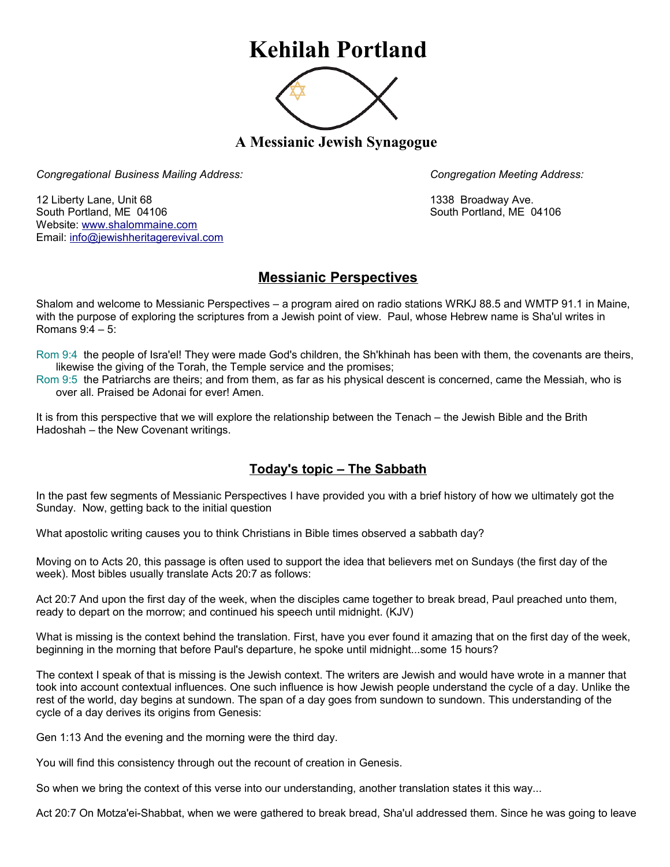## **Kehilah Portland**



**A Messianic Jewish Synagogue** 

*Congregational Business Mailing Address: Congregation Meeting Address:*

12 Liberty Lane, Unit 68 1338 Broadway Ave. South Portland, ME 04106 South Portland, ME 04106 Website: [www.shalommaine.com](http://www.shalommaine.com/) Email: [info@jewishheritagerevival.com](mailto:info@jewishheritagerevival.com) 

## **Messianic Perspectives**

Shalom and welcome to Messianic Perspectives – a program aired on radio stations WRKJ 88.5 and WMTP 91.1 in Maine, with the purpose of exploring the scriptures from a Jewish point of view. Paul, whose Hebrew name is Sha'ul writes in Romans 9:4 – 5:

Rom 9:4 the people of Isra'el! They were made God's children, the Sh'khinah has been with them, the covenants are theirs, likewise the giving of the Torah, the Temple service and the promises;

Rom 9:5 the Patriarchs are theirs; and from them, as far as his physical descent is concerned, came the Messiah, who is over all. Praised be Adonai for ever! Amen.

It is from this perspective that we will explore the relationship between the Tenach – the Jewish Bible and the Brith Hadoshah – the New Covenant writings.

## **Today's topic – The Sabbath**

In the past few segments of Messianic Perspectives I have provided you with a brief history of how we ultimately got the Sunday. Now, getting back to the initial question

What apostolic writing causes you to think Christians in Bible times observed a sabbath day?

Moving on to Acts 20, this passage is often used to support the idea that believers met on Sundays (the first day of the week). Most bibles usually translate Acts 20:7 as follows:

Act 20:7 And upon the first day of the week, when the disciples came together to break bread, Paul preached unto them, ready to depart on the morrow; and continued his speech until midnight. (KJV)

What is missing is the context behind the translation. First, have you ever found it amazing that on the first day of the week, beginning in the morning that before Paul's departure, he spoke until midnight...some 15 hours?

The context I speak of that is missing is the Jewish context. The writers are Jewish and would have wrote in a manner that took into account contextual influences. One such influence is how Jewish people understand the cycle of a day. Unlike the rest of the world, day begins at sundown. The span of a day goes from sundown to sundown. This understanding of the cycle of a day derives its origins from Genesis:

Gen 1:13 And the evening and the morning were the third day.

You will find this consistency through out the recount of creation in Genesis.

So when we bring the context of this verse into our understanding, another translation states it this way...

Act 20:7 On Motza'ei-Shabbat, when we were gathered to break bread, Sha'ul addressed them. Since he was going to leave